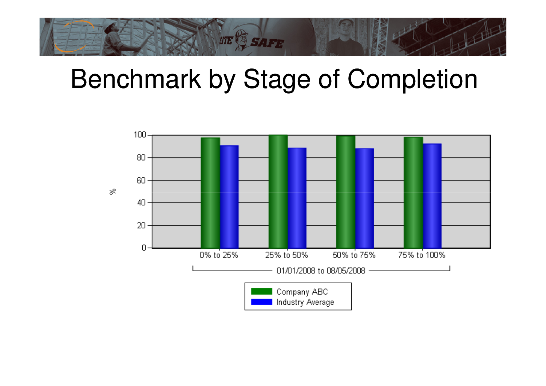

## Benchmark by Stage of Completion

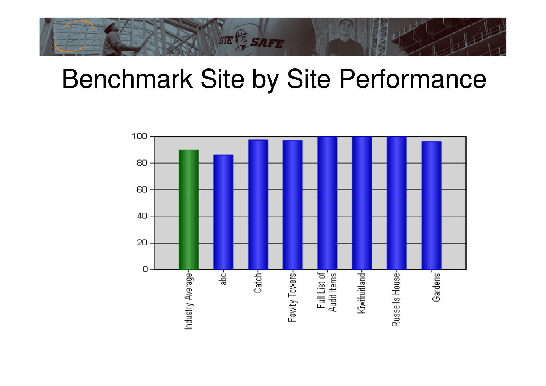

## Benchmark Site by Site Performance

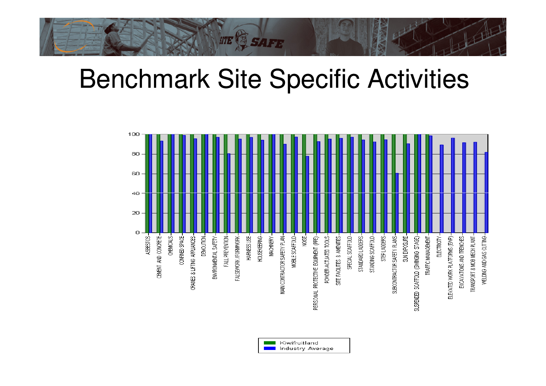

## Benchmark Site Specific Activities



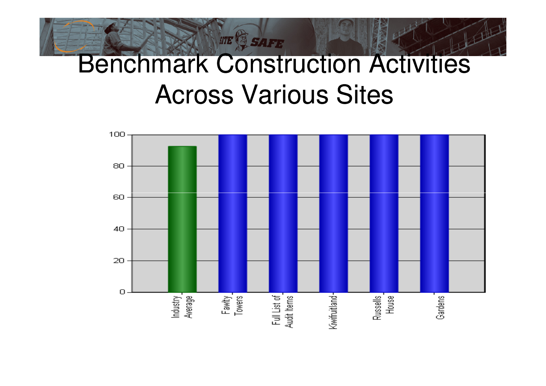## Benchmark Construction Activities Across Various Sites

**STE & SAFE** 

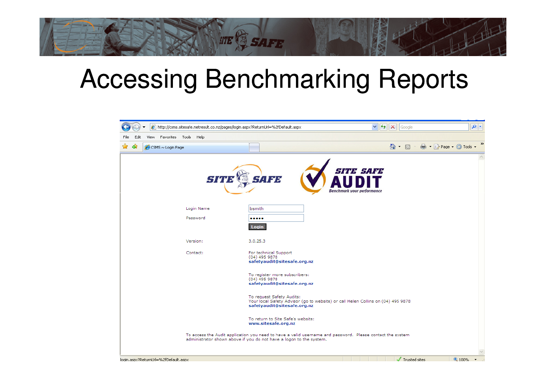## Accessing Benchmarking Reports

**SITE & SAFE** 

| $\boldsymbol{e}$ http://csms.sitesafe.netresult.co.nz/pages/login.aspx?ReturnUrl=%2fDefault.aspx |                                                                                                                                                                                  | $\vee$ $\left  \left  \right  \right $ $\times$<br>Google | $\rho$ .                                |
|--------------------------------------------------------------------------------------------------|----------------------------------------------------------------------------------------------------------------------------------------------------------------------------------|-----------------------------------------------------------|-----------------------------------------|
| Favorites Tools Help<br>Edit<br>View<br>File                                                     |                                                                                                                                                                                  |                                                           |                                         |
| al)<br>CSMS ~ Login Page                                                                         |                                                                                                                                                                                  | $\circ$ $\cdot$ 5 $\cdot$                                 | $\rightarrow$<br>■ · ☆ Page · ⊙ Tools · |
| <b>SITI</b>                                                                                      | <b>SAFE</b>                                                                                                                                                                      | <b>SITE SAFE</b><br><b>Benchmark your performance</b>     |                                         |
| Login Name                                                                                       | bsmith                                                                                                                                                                           |                                                           |                                         |
| Password                                                                                         | <br>Login                                                                                                                                                                        |                                                           |                                         |
| Version:                                                                                         | 3.0.25.3                                                                                                                                                                         |                                                           |                                         |
| Contact:                                                                                         | For technical Support<br>$(04)$ 495 9878<br>safetyaudit@sitesafe.org.nz                                                                                                          |                                                           |                                         |
|                                                                                                  | To register more subscribers:<br>$(04)$ 495 9878<br>safetyaudit@sitesafe.org.nz                                                                                                  |                                                           |                                         |
|                                                                                                  | To request Safety Audits:<br>Your local Safety Advisor (go to website) or call Helen Collins on (04) 495 9878<br>safetyaudit@sitesafe.org.nz                                     |                                                           |                                         |
|                                                                                                  | To return to Site Safe's website:<br>www.sitesafe.org.nz                                                                                                                         |                                                           |                                         |
|                                                                                                  | To access the Audit application you need to have a valid username and password. Please contact the system<br>administrator shown above if you do not have a logon to the system. |                                                           |                                         |
| login.aspx?ReturnUrl=%2fDefault.aspx                                                             |                                                                                                                                                                                  | Trusted sites                                             | ● 100% →                                |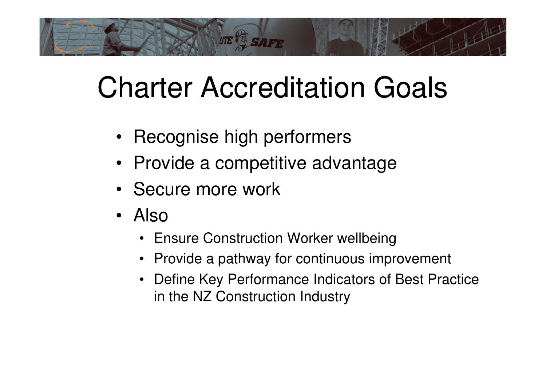# **STE & SAFE**

## Charter Accreditation Goals

- Recognise high performers
- Provide a competitive advantage
- Secure more work
- Also
	- Ensure Construction Worker wellbeing
	- Provide a pathway for continuous improvement
	- Define Key Performance Indicators of Best Practicein the NZ Construction Industry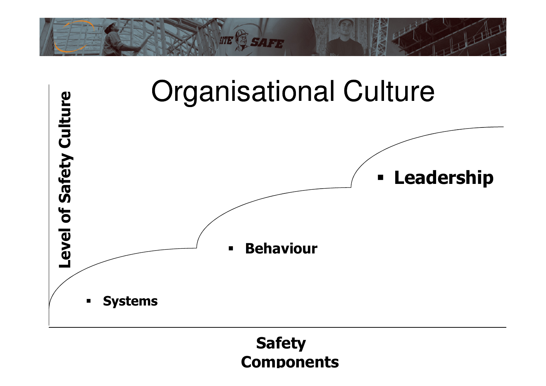



#### Safety **Components**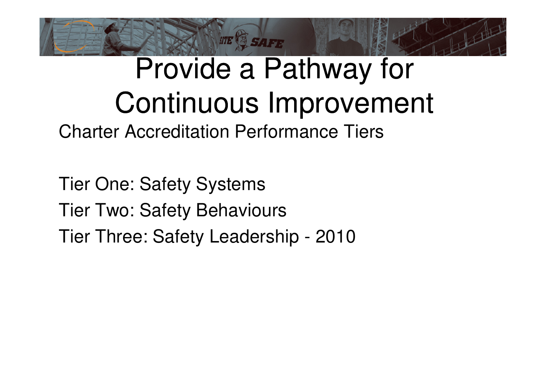

## Provide a Pathway for Continuous Improvement

Charter Accreditation Performance Tiers

Tier One: Safety SystemsTier Two: Safety BehavioursTier Three: Safety Leadership - 2010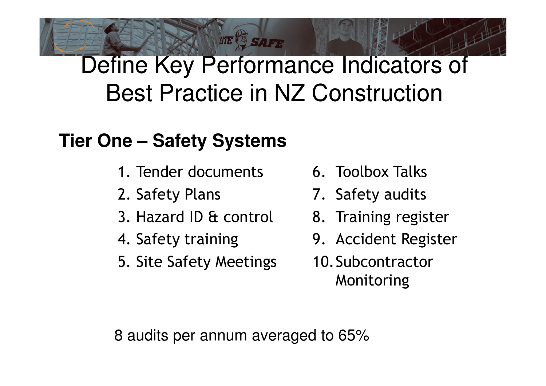### Define Key Performance Indicators of Best Practice in NZ Construction

**STE SAFE** 

#### **Tier One – Safety Systems**

- 1. Tender documents
- 2. Safety Plans
- 3. Hazard ID & control
- 4. Safety training
- 5. Site Safety Meetings
- 6. Toolbox Talks
- 7. Safety audits
- 8. Training register
- 9. Accident Register
- 10.Subcontractor Monitoring

8 audits per annum averaged to 65%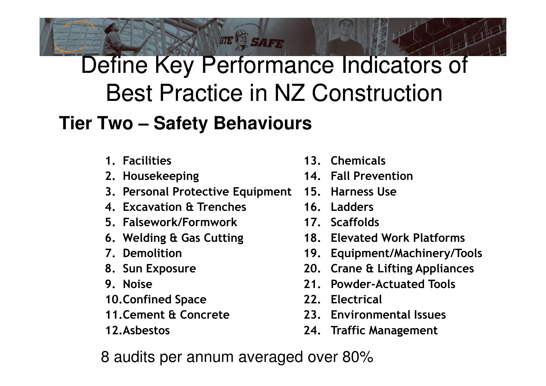### Define Key Performance Indicators of Best Practice in NZ Construction**Tier Two – Safety Behaviours**

**STE SAFE** 

- - 1. Facilities
	- 2. Housekeeping
	- 3. Personal Protective Equipment
	- 4. Excavation & Trenches
	- 5. Falsework/Formwork
	- 6. Welding & Gas Cutting
	- 7. Demolition
	- 8. Sun Exposure
	- 9. Noise
	- 10.Confined Space
	- 11.Cement & Concrete
	- 12.Asbestos
- 13. Chemicals
- 14. Fall Prevention
- 15. Harness Use
- 16. Ladders
- 17. Scaffolds
- 18. Elevated Work Platforms
- 19. Equipment/Machinery/Tools
- 20. Crane & Lifting Appliances
- 21. Powder-Actuated Tools
- 22. Electrical
- 23. Environmental Issues
- 24. Traffic Management

8 audits per annum averaged over 80%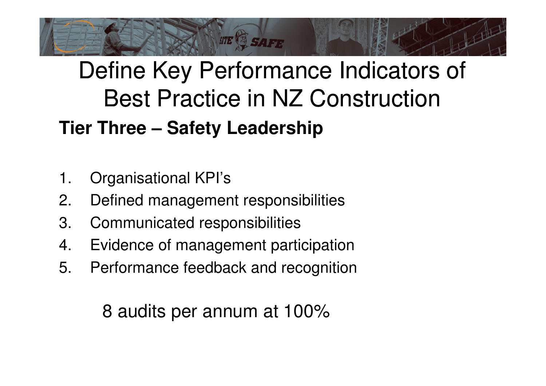

### Define Key Performance Indicators of Best Practice in NZ Construction**Tier Three – Safety Leadership**

- 1. Organisational KPI's
- 2.Defined management responsibilities
- 3. Communicated responsibilities
- 4. Evidence of management participation
- 5. Performance feedback and recognition

8 audits per annum at 100%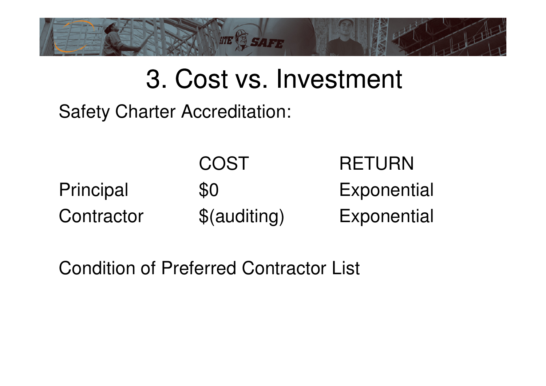

## 3. Cost vs. Investment

Safety Charter Accreditation:

|            | COST         | <b>RETURN</b> |
|------------|--------------|---------------|
| Principal  | \$0          | Exponential   |
| Contractor | \$(auditing) | Exponential   |

Condition of Preferred Contractor List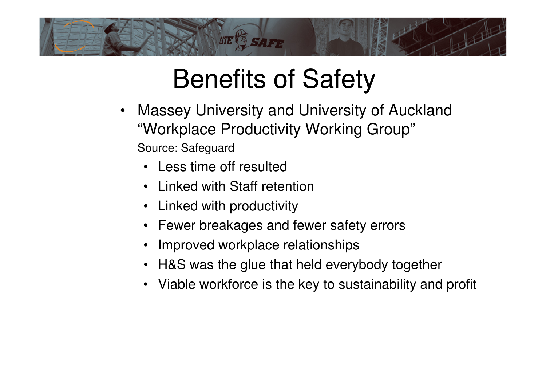

## Benefits of Safety

- $\bullet$  Massey University and University of Auckland "Workplace Productivity Working Group"Source: Safeguard
	- Less time off resulted
	- Linked with Staff retention
	- Linked with productivity
	- Fewer breakages and fewer safety errors
	- •Improved workplace relationships
	- H&S was the glue that held everybody together
	- Viable workforce is the key to sustainability and profit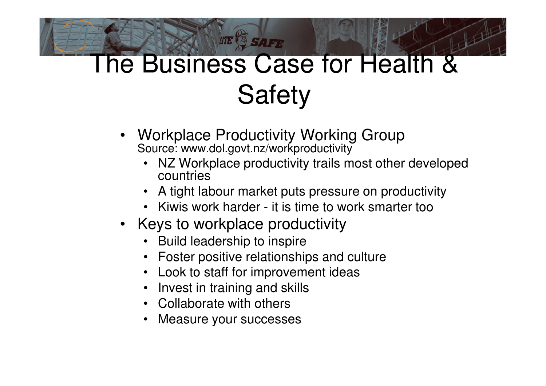## The Business Case for Health & **Safety**

• Workplace Productivity Working GroupSource: www.dol.govt.nz/workproductivity

**STE & SAFE** 

- NZ Workplace productivity trails most other developed •countries
- A tight labour market puts pressure on productivity
- Kiwis work harder it is time to work smarter too
- Keys to workplace productivity
	- Build leadership to inspire
	- Foster positive relationships and culture
	- Look to staff for improvement ideas
	- •Invest in training and skills
	- Collaborate with others
	- Measure your successes•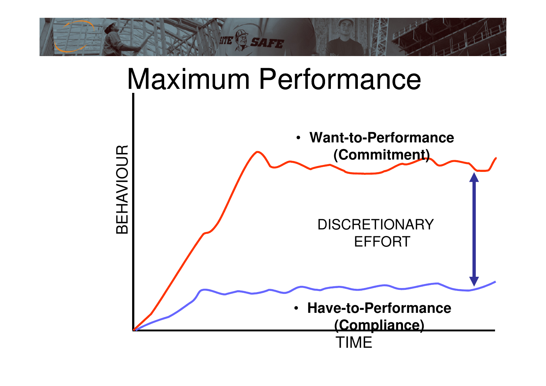



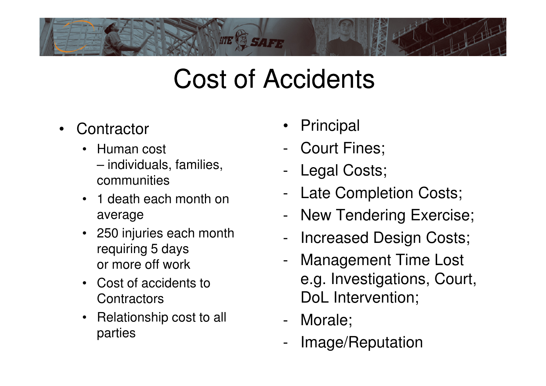

## Cost of Accidents

- •**Contractor** 
	- $\bullet$  Human cost
		- individuals, families, communities
	- 1 death each month on average
	- 250 injuries each month requiring 5 daysor more off work
	- Cost of accidents to **Contractors**
	- Relationship cost to all parties
- •Principal
- -Court Fines;
- -Legal Costs;
- -Late Completion Costs;
- -New Tendering Exercise;
- -Increased Design Costs;
- - Management Time Lost e.g. Investigations, Court, DoL Intervention;
- -Morale;
- -Image/Reputation